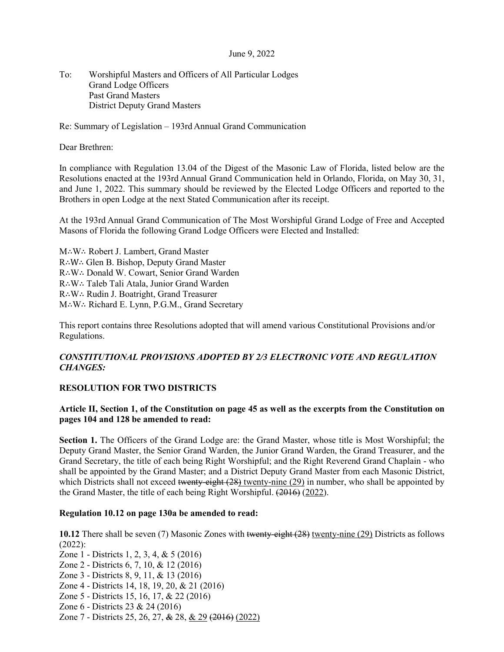#### June 9, 2022

To: Worshipful Masters and Officers of All Particular Lodges Grand Lodge Officers Past Grand Masters District Deputy Grand Masters

Re: Summary of Legislation – 193rd Annual Grand Communication

Dear Brethren:

In compliance with Regulation 13.04 of the Digest of the Masonic Law of Florida, listed below are the Resolutions enacted at the 193rd Annual Grand Communication held in Orlando, Florida, on May 30, 31, and June 1, 2022. This summary should be reviewed by the Elected Lodge Officers and reported to the Brothers in open Lodge at the next Stated Communication after its receipt.

At the 193rd Annual Grand Communication of The Most Worshipful Grand Lodge of Free and Accepted Masons of Florida the following Grand Lodge Officers were Elected and Installed:

M∴W∴ Robert J. Lambert, Grand Master R∴W∴ Glen B. Bishop, Deputy Grand Master R∴W∴ Donald W. Cowart, Senior Grand Warden R∴W∴ Taleb Tali Atala, Junior Grand Warden R∴W∴ Rudin J. Boatright, Grand Treasurer M∴W∴ Richard E. Lynn, P.G.M., Grand Secretary

This report contains three Resolutions adopted that will amend various Constitutional Provisions and/or Regulations.

# *CONSTITUTIONAL PROVISIONS ADOPTED BY 2/3 ELECTRONIC VOTE AND REGULATION CHANGES:*

# **RESOLUTION FOR TWO DISTRICTS**

# **Article II, Section 1, of the Constitution on page 45 as well as the excerpts from the Constitution on pages 104 and 128 be amended to read:**

**Section 1.** The Officers of the Grand Lodge are: the Grand Master, whose title is Most Worshipful; the Deputy Grand Master, the Senior Grand Warden, the Junior Grand Warden, the Grand Treasurer, and the Grand Secretary, the title of each being Right Worshipful; and the Right Reverend Grand Chaplain - who shall be appointed by the Grand Master; and a District Deputy Grand Master from each Masonic District, which Districts shall not exceed twenty-eight (28) twenty-nine (29) in number, who shall be appointed by the Grand Master, the title of each being Right Worshipful. (2016) (2022).

# **Regulation 10.12 on page 130a be amended to read:**

**10.12** There shall be seven (7) Masonic Zones with twenty-eight (28) twenty-nine (29) Districts as follows (2022):

- Zone 1 Districts 1, 2, 3, 4, & 5 (2016) Zone 2 - Districts 6, 7, 10, & 12 (2016) Zone 3 - Districts 8, 9, 11, & 13 (2016) Zone 4 - Districts 14, 18, 19, 20, & 21 (2016) Zone 5 - Districts 15, 16, 17, & 22 (2016)
- Zone 6 Districts 23 & 24 (2016)
- 
- Zone 7 Districts 25, 26, 27, & 28, & 29 (2016) (2022)